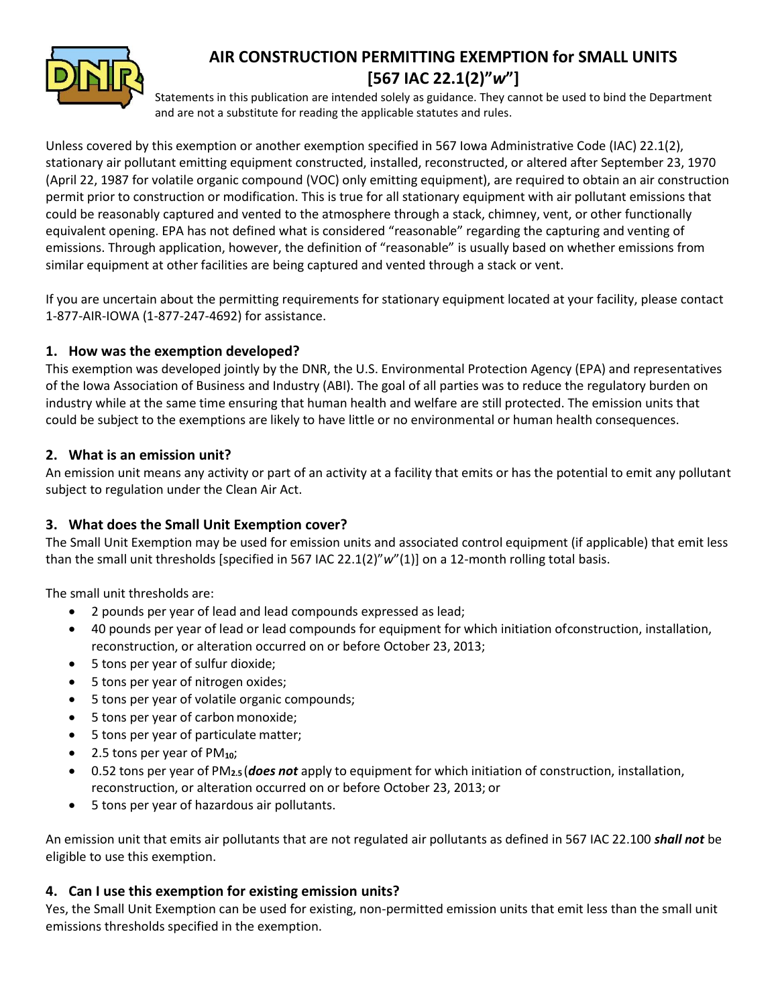

# **AIR CONSTRUCTION PERMITTING EXEMPTION for SMALL UNITS [567 IAC 22.1(2)"***w***"]**

Statements in this publication are intended solely as guidance. They cannot be used to bind the Department and are not a substitute for reading the applicable statutes and rules.

Unless covered by this exemption or another exemption specified in 567 Iowa Administrative Code (IAC) 22.1(2), stationary air pollutant emitting equipment constructed, installed, reconstructed, or altered after September 23, 1970 (April 22, 1987 for volatile organic compound (VOC) only emitting equipment), are required to obtain an air construction permit prior to construction or modification. This is true for all stationary equipment with air pollutant emissions that could be reasonably captured and vented to the atmosphere through a stack, chimney, vent, or other functionally equivalent opening. EPA has not defined what is considered "reasonable" regarding the capturing and venting of emissions. Through application, however, the definition of "reasonable" is usually based on whether emissions from similar equipment at other facilities are being captured and vented through a stack or vent.

If you are uncertain about the permitting requirements for stationary equipment located at your facility, please contact 1-877-AIR-IOWA (1-877-247-4692) for assistance.

#### **1. How was the exemption developed?**

This exemption was developed jointly by the DNR, the U.S. Environmental Protection Agency (EPA) and representatives of the Iowa Association of Business and Industry (ABI). The goal of all parties was to reduce the regulatory burden on industry while at the same time ensuring that human health and welfare are still protected. The emission units that could be subject to the exemptions are likely to have little or no environmental or human health consequences.

#### **2. What is an emission unit?**

An emission unit means any activity or part of an activity at a facility that emits or has the potential to emit any pollutant subject to regulation under the Clean Air Act.

### **3. What does the Small Unit Exemption cover?**

The Small Unit Exemption may be used for emission units and associated control equipment (if applicable) that emit less than the small unit thresholds [specified in 567 IAC 22.1(2)"*w*"(1)] on a 12-month rolling total basis.

The small unit thresholds are:

- 2 pounds per year of lead and lead compounds expressed as lead;
- 40 pounds per year of lead or lead compounds for equipment for which initiation ofconstruction, installation, reconstruction, or alteration occurred on or before October 23, 2013;
- 5 tons per year of sulfur dioxide;
- 5 tons per year of nitrogen oxides;
- 5 tons per year of volatile organic compounds;
- 5 tons per year of carbonmonoxide;
- 5 tons per year of particulate matter;
- 2.5 tons per year of PM**10**;
- 0.52 tons per year of PM**2.5** (*does not* apply to equipment for which initiation of construction, installation, reconstruction, or alteration occurred on or before October 23, 2013; or
- 5 tons per year of hazardous air pollutants.

An emission unit that emits air pollutants that are not regulated air pollutants as defined in 567 IAC 22.100 *shall not* be eligible to use this exemption.

### **4. Can I use this exemption for existing emission units?**

Yes, the Small Unit Exemption can be used for existing, non-permitted emission units that emit less than the small unit emissions thresholds specified in the exemption.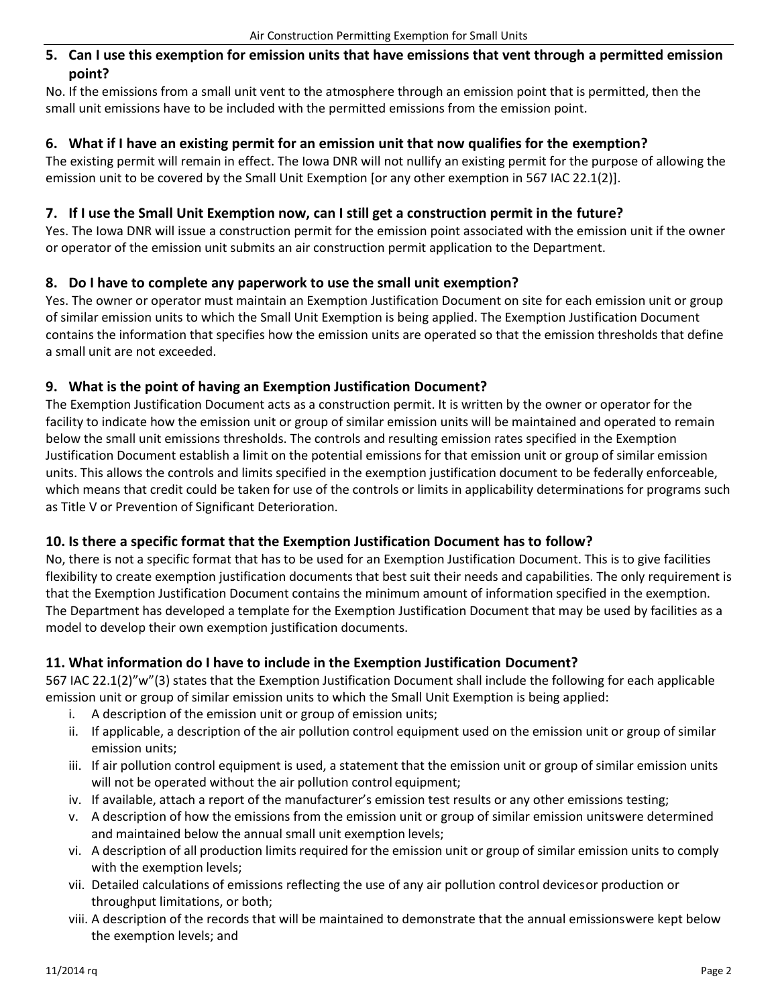#### **5. Can I use this exemption for emission units that have emissions that vent through a permitted emission point?**

No. If the emissions from a small unit vent to the atmosphere through an emission point that is permitted, then the small unit emissions have to be included with the permitted emissions from the emission point.

#### **6. What if I have an existing permit for an emission unit that now qualifies for the exemption?**

The existing permit will remain in effect. The Iowa DNR will not nullify an existing permit for the purpose of allowing the emission unit to be covered by the Small Unit Exemption [or any other exemption in 567 IAC 22.1(2)].

#### **7. If I use the Small Unit Exemption now, can I still get a construction permit in the future?**

Yes. The Iowa DNR will issue a construction permit for the emission point associated with the emission unit if the owner or operator of the emission unit submits an air construction permit application to the Department.

#### **8. Do I have to complete any paperwork to use the small unit exemption?**

Yes. The owner or operator must maintain an Exemption Justification Document on site for each emission unit or group of similar emission units to which the Small Unit Exemption is being applied. The Exemption Justification Document contains the information that specifies how the emission units are operated so that the emission thresholds that define a small unit are not exceeded.

#### **9. What is the point of having an Exemption Justification Document?**

The Exemption Justification Document acts as a construction permit. It is written by the owner or operator for the facility to indicate how the emission unit or group of similar emission units will be maintained and operated to remain below the small unit emissions thresholds. The controls and resulting emission rates specified in the Exemption Justification Document establish a limit on the potential emissions for that emission unit or group of similar emission units. This allows the controls and limits specified in the exemption justification document to be federally enforceable, which means that credit could be taken for use of the controls or limits in applicability determinations for programs such as Title V or Prevention of Significant Deterioration.

### **10. Is there a specific format that the Exemption Justification Document has to follow?**

No, there is not a specific format that has to be used for an Exemption Justification Document. This is to give facilities flexibility to create exemption justification documents that best suit their needs and capabilities. The only requirement is that the Exemption Justification Document contains the minimum amount of information specified in the exemption. The Department has developed a template for the Exemption Justification Document that may be used by facilities as a model to develop their own exemption justification documents.

### **11. What information do I have to include in the Exemption Justification Document?**

567 IAC 22.1(2)"w"(3) states that the Exemption Justification Document shall include the following for each applicable emission unit or group of similar emission units to which the Small Unit Exemption is being applied:

- i. A description of the emission unit or group of emission units;
- ii. If applicable, a description of the air pollution control equipment used on the emission unit or group of similar emission units;
- iii. If air pollution control equipment is used, a statement that the emission unit or group of similar emission units will not be operated without the air pollution control equipment;
- iv. If available, attach a report of the manufacturer's emission test results or any other emissions testing;
- v. A description of how the emissions from the emission unit or group of similar emission unitswere determined and maintained below the annual small unit exemption levels;
- vi. A description of all production limits required for the emission unit or group of similar emission units to comply with the exemption levels;
- vii. Detailed calculations of emissions reflecting the use of any air pollution control devicesor production or throughput limitations, or both;
- viii. A description of the records that will be maintained to demonstrate that the annual emissionswere kept below the exemption levels; and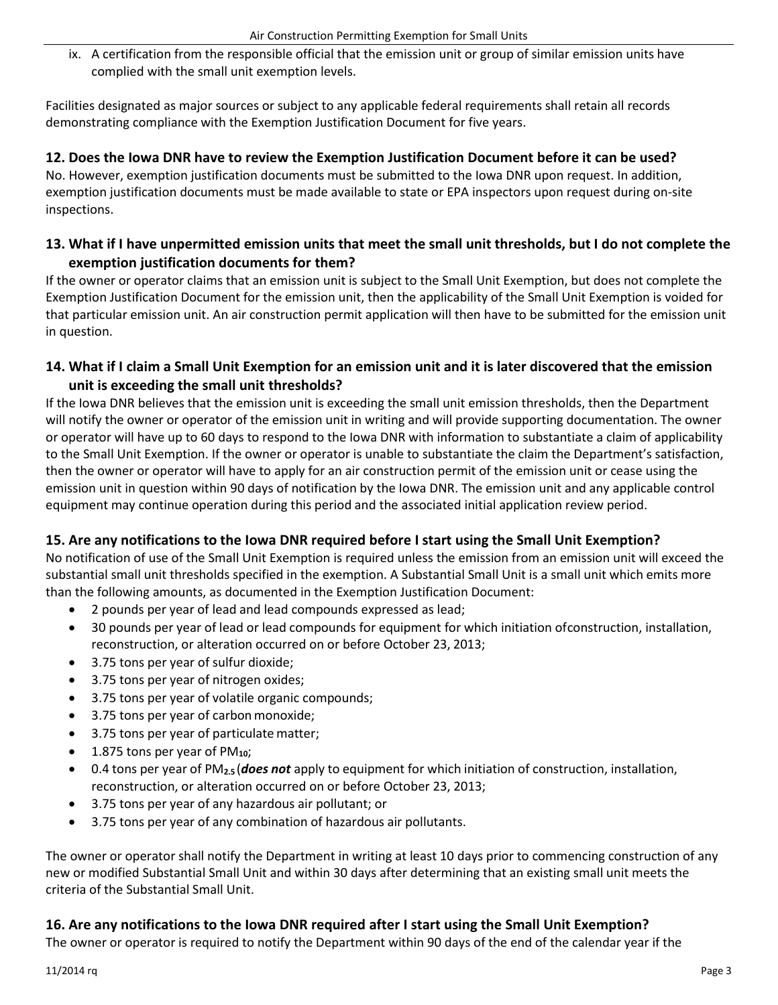ix. A certification from the responsible official that the emission unit or group of similar emission units have complied with the small unit exemption levels.

Facilities designated as major sources or subject to any applicable federal requirements shall retain all records demonstrating compliance with the Exemption Justification Document for five years.

#### **12. Does the Iowa DNR have to review the Exemption Justification Document before it can be used?**

No. However, exemption justification documents must be submitted to the Iowa DNR upon request. In addition, exemption justification documents must be made available to state or EPA inspectors upon request during on-site inspections.

### **13. What if I have unpermitted emission units that meet the small unit thresholds, but I do not complete the exemption justification documents for them?**

If the owner or operator claims that an emission unit is subject to the Small Unit Exemption, but does not complete the Exemption Justification Document for the emission unit, then the applicability of the Small Unit Exemption is voided for that particular emission unit. An air construction permit application will then have to be submitted for the emission unit in question.

### **14. What if I claim a Small Unit Exemption for an emission unit and it is later discovered that the emission unit is exceeding the small unit thresholds?**

If the Iowa DNR believes that the emission unit is exceeding the small unit emission thresholds, then the Department will notify the owner or operator of the emission unit in writing and will provide supporting documentation. The owner or operator will have up to 60 days to respond to the Iowa DNR with information to substantiate a claim of applicability to the Small Unit Exemption. If the owner or operator is unable to substantiate the claim the Department's satisfaction, then the owner or operator will have to apply for an air construction permit of the emission unit or cease using the emission unit in question within 90 days of notification by the Iowa DNR. The emission unit and any applicable control equipment may continue operation during this period and the associated initial application review period.

### **15. Are any notifications to the Iowa DNR required before I start using the Small Unit Exemption?**

No notification of use of the Small Unit Exemption is required unless the emission from an emission unit will exceed the substantial small unit thresholds specified in the exemption. A Substantial Small Unit is a small unit which emits more than the following amounts, as documented in the Exemption Justification Document:

- 2 pounds per year of lead and lead compounds expressed as lead;
- 30 pounds per year of lead or lead compounds for equipment for which initiation ofconstruction, installation, reconstruction, or alteration occurred on or before October 23, 2013;
- 3.75 tons per year of sulfur dioxide;
- 3.75 tons per year of nitrogen oxides;
- 3.75 tons per year of volatile organic compounds;
- 3.75 tons per year of carbon monoxide;
- 3.75 tons per year of particulate matter;
- 1.875 tons per year of PM**10**;
- 0.4 tons per year of PM**2.5** (*does not* apply to equipment for which initiation of construction, installation, reconstruction, or alteration occurred on or before October 23, 2013;
- 3.75 tons per year of any hazardous air pollutant; or
- 3.75 tons per year of any combination of hazardous air pollutants.

The owner or operator shall notify the Department in writing at least 10 days prior to commencing construction of any new or modified Substantial Small Unit and within 30 days after determining that an existing small unit meets the criteria of the Substantial Small Unit.

### **16. Are any notifications to the Iowa DNR required after I start using the Small Unit Exemption?**

The owner or operator is required to notify the Department within 90 days of the end of the calendar year if the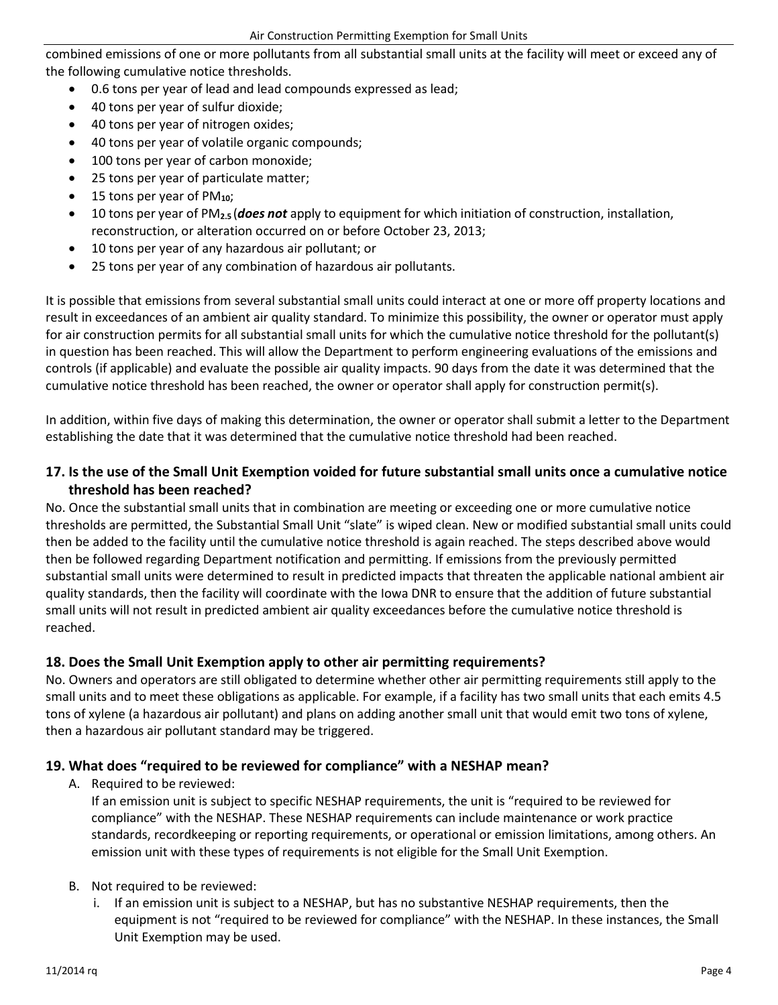combined emissions of one or more pollutants from all substantial small units at the facility will meet or exceed any of the following cumulative notice thresholds.

- 0.6 tons per year of lead and lead compounds expressed as lead;
- 40 tons per year of sulfur dioxide;
- 40 tons per year of nitrogen oxides;
- 40 tons per year of volatile organic compounds;
- 100 tons per year of carbon monoxide;
- 25 tons per year of particulate matter;
- 15 tons per year of PM**10**;
- 10 tons per year of PM**2.5** (*does not* apply to equipment for which initiation of construction, installation, reconstruction, or alteration occurred on or before October 23, 2013;
- 10 tons per year of any hazardous air pollutant; or
- 25 tons per year of any combination of hazardous air pollutants.

It is possible that emissions from several substantial small units could interact at one or more off property locations and result in exceedances of an ambient air quality standard. To minimize this possibility, the owner or operator must apply for air construction permits for all substantial small units for which the cumulative notice threshold for the pollutant(s) in question has been reached. This will allow the Department to perform engineering evaluations of the emissions and controls (if applicable) and evaluate the possible air quality impacts. 90 days from the date it was determined that the cumulative notice threshold has been reached, the owner or operator shall apply for construction permit(s).

In addition, within five days of making this determination, the owner or operator shall submit a letter to the Department establishing the date that it was determined that the cumulative notice threshold had been reached.

#### **17. Is the use of the Small Unit Exemption voided for future substantial small units once a cumulative notice threshold has been reached?**

No. Once the substantial small units that in combination are meeting or exceeding one or more cumulative notice thresholds are permitted, the Substantial Small Unit "slate" is wiped clean. New or modified substantial small units could then be added to the facility until the cumulative notice threshold is again reached. The steps described above would then be followed regarding Department notification and permitting. If emissions from the previously permitted substantial small units were determined to result in predicted impacts that threaten the applicable national ambient air quality standards, then the facility will coordinate with the Iowa DNR to ensure that the addition of future substantial small units will not result in predicted ambient air quality exceedances before the cumulative notice threshold is reached.

#### **18. Does the Small Unit Exemption apply to other air permitting requirements?**

No. Owners and operators are still obligated to determine whether other air permitting requirements still apply to the small units and to meet these obligations as applicable. For example, if a facility has two small units that each emits 4.5 tons of xylene (a hazardous air pollutant) and plans on adding another small unit that would emit two tons of xylene, then a hazardous air pollutant standard may be triggered.

#### **19. What does "required to be reviewed for compliance" with a NESHAP mean?**

A. Required to be reviewed:

If an emission unit is subject to specific NESHAP requirements, the unit is "required to be reviewed for compliance" with the NESHAP. These NESHAP requirements can include maintenance or work practice standards, recordkeeping or reporting requirements, or operational or emission limitations, among others. An emission unit with these types of requirements is not eligible for the Small Unit Exemption.

- B. Not required to be reviewed:
	- i. If an emission unit is subject to a NESHAP, but has no substantive NESHAP requirements, then the equipment is not "required to be reviewed for compliance" with the NESHAP. In these instances, the Small Unit Exemption may be used.